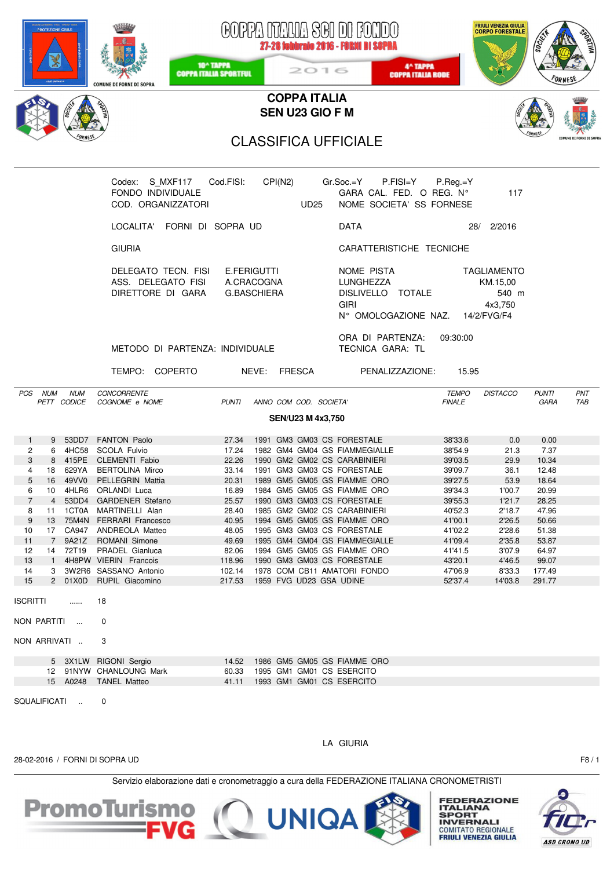| <b>ROTEZIONE CIVILE</b>                                 | COMUNE DI FORNI DI SOPRA                                                     | 10 <sup>^</sup> TAPPA<br><b>COPPA ITALIA SPORTFUL</b> | 2016                                                   | GOPPA NTAUA SGI DI FONDO<br>27-28 febbraio 2016 - FORNI DI SOPRA<br>4 <sup>^</sup> TAPPA<br><b>COPPA ITALIA RODE</b> | FRIULI VENEZIA GIULIA<br>CORPO FORESTALE         | 300%                               |  |  |  |  |  |  |  |  |
|---------------------------------------------------------|------------------------------------------------------------------------------|-------------------------------------------------------|--------------------------------------------------------|----------------------------------------------------------------------------------------------------------------------|--------------------------------------------------|------------------------------------|--|--|--|--|--|--|--|--|
|                                                         |                                                                              |                                                       | <b>COPPA ITALIA</b>                                    |                                                                                                                      |                                                  |                                    |  |  |  |  |  |  |  |  |
| SEN U23 GIO F M                                         |                                                                              |                                                       |                                                        |                                                                                                                      |                                                  |                                    |  |  |  |  |  |  |  |  |
| COMUNE DI FORNI DI SOPRA<br><b>CLASSIFICA UFFICIALE</b> |                                                                              |                                                       |                                                        |                                                                                                                      |                                                  |                                    |  |  |  |  |  |  |  |  |
|                                                         | Codex: S_MXF117 Cod.FISI: CPI(N2)<br>FONDO INDIVIDUALE<br>COD. ORGANIZZATORI |                                                       | <b>UD25</b>                                            | Gr.Soc.=Y<br>P.FISI=Y<br>GARA CAL. FED. O REG. N°<br>NOME SOCIETA' SS FORNESE                                        | $P_{\cdot}$ Reg $_{\cdot}$ =Y<br>117             |                                    |  |  |  |  |  |  |  |  |
|                                                         | LOCALITA' FORNI DI SOPRA UD                                                  |                                                       |                                                        | DATA                                                                                                                 | 28/ 2/2016                                       |                                    |  |  |  |  |  |  |  |  |
|                                                         | <b>GIURIA</b>                                                                |                                                       |                                                        | CARATTERISTICHE TECNICHE                                                                                             |                                                  |                                    |  |  |  |  |  |  |  |  |
|                                                         | DELEGATO TECN. FISI<br>ASS. DELEGATO FISI A.CRACOGNA<br>DIRETTORE DI GARA    | E.FERIGUTTI<br>G.BASCHIERA                            |                                                        | NOME PISTA<br>LUNGHEZZA<br>DISLIVELLO TOTALE<br><b>GIRI</b><br>N° OMOLOGAZIONE NAZ. 14/2/FVG/F4                      | TAGLIAMENTO<br>KM.15.00<br>540 m<br>4x3,750      |                                    |  |  |  |  |  |  |  |  |
|                                                         | METODO DI PARTENZA: INDIVIDUALE                                              |                                                       |                                                        | ORA DI PARTENZA:<br>TECNICA GARA: TL                                                                                 | 09:30:00                                         |                                    |  |  |  |  |  |  |  |  |
|                                                         | TEMPO: COPERTO NEVE: FRESCA                                                  |                                                       |                                                        | PENALIZZAZIONE: 15.95                                                                                                |                                                  |                                    |  |  |  |  |  |  |  |  |
| POS NUM<br><b>NUM</b><br>PETT CODICE                    | CONCORRENTE<br>COGNOME e NOME                                                | <b>PUNTI</b>                                          | ANNO COM COD. SOCIETA'                                 |                                                                                                                      | <b>TEMPO</b><br><b>DISTACCO</b><br><b>FINALE</b> | <b>PUNTI</b><br>PNT<br>GARA<br>TAB |  |  |  |  |  |  |  |  |
|                                                         |                                                                              |                                                       | SEN/U23 M 4x3,750                                      |                                                                                                                      |                                                  |                                    |  |  |  |  |  |  |  |  |
| $\mathbf{1}$<br>9                                       | 53DD7 FANTON Paolo                                                           | 27.34                                                 | 1991 GM3 GM03 CS FORESTALE                             |                                                                                                                      | 38'33.6<br>0.0                                   | 0.00                               |  |  |  |  |  |  |  |  |
| 2                                                       | 6 4HC58 SCOLA Fulvio                                                         |                                                       |                                                        | 17.24 1982 GM4 GM04 GS FIAMMEGIALLE                                                                                  | 38'54.9<br>21.3                                  | 7.37                               |  |  |  |  |  |  |  |  |
| 3<br>4                                                  | 8 415PE CLEMENTI Fabio<br>18 629YA BERTOLINA Mirco                           | 22.26                                                 | 33.14 1991 GM3 GM03 CS FORESTALE                       | 1990 GM2 GM02 CS CARABINIERI                                                                                         | 39'03.5<br>29.9<br>39'09.7<br>36.1               | 10.34<br>12.48                     |  |  |  |  |  |  |  |  |
| 5<br>49VV0<br>16                                        | PELLEGRIN Mattia                                                             | 20.31                                                 |                                                        | 1989 GM5 GM05 GS FIAMME ORO                                                                                          | 39'27.5<br>53.9                                  | 18.64                              |  |  |  |  |  |  |  |  |
| 4HLR6<br>6<br>10                                        | ORLANDI Luca                                                                 | 16.89                                                 |                                                        | 1984 GM5 GM05 GS FIAMME ORO                                                                                          | 39'34.3<br>1'00.7                                | 20.99                              |  |  |  |  |  |  |  |  |
| $\overline{7}$<br>4<br>53DD4                            | <b>GARDENER</b> Stefano                                                      | 25.57                                                 | 1990 GM3 GM03 CS FORESTALE                             |                                                                                                                      | 39'55.3<br>1'21.7                                | 28.25                              |  |  |  |  |  |  |  |  |
| 1CT0A<br>8<br>11                                        | MARTINELLI Alan                                                              | 28.40                                                 |                                                        | 1985 GM2 GM02 CS CARABINIERI                                                                                         | 40'52.3<br>2'18.7                                | 47.96                              |  |  |  |  |  |  |  |  |
| 9<br>75M4N<br>13                                        | <b>FERRARI</b> Francesco                                                     | 40.95                                                 |                                                        | 1994 GM5 GM05 GS FIAMME ORO                                                                                          | 41'00.1<br>2'26.5                                | 50.66                              |  |  |  |  |  |  |  |  |
| CA947<br>10<br>17<br>9A21Z<br>$7\overline{ }$           | ANDREOLA Matteo                                                              | 48.05                                                 | 1995 GM3 GM03 CS FORESTALE                             | 1995 GM4 GM04 GS FIAMMEGIALLE                                                                                        | 41'02.2<br>2'28.6                                | 51.38                              |  |  |  |  |  |  |  |  |
| 11<br>72T19<br>12<br>14                                 | ROMANI Simone<br>PRADEL Gianluca                                             | 49.69<br>82.06                                        |                                                        | 1994 GM5 GM05 GS FIAMME ORO                                                                                          | 41'09.4<br>2'35.8<br>41'41.5<br>3'07.9           | 53.87<br>64.97                     |  |  |  |  |  |  |  |  |
| 13<br>$\mathbf{1}$                                      | 4H8PW VIERIN Francois                                                        | 118.96                                                | 1990 GM3 GM03 CS FORESTALE                             |                                                                                                                      | 43'20.1<br>4'46.5                                | 99.07                              |  |  |  |  |  |  |  |  |
| 14<br>3                                                 | 3W2R6 SASSANO Antonio                                                        | 102.14                                                |                                                        | 1978 COM CB11 AMATORI FONDO                                                                                          | 47'06.9<br>8'33.3                                | 177.49                             |  |  |  |  |  |  |  |  |
| 15<br>2 01X0D                                           | RUPIL Giacomino                                                              | 217.53                                                | 1959 FVG UD23 GSA UDINE                                |                                                                                                                      | 52'37.4<br>14'03.8                               | 291.77                             |  |  |  |  |  |  |  |  |
| <b>ISCRITTI</b><br>.                                    | 18                                                                           |                                                       |                                                        |                                                                                                                      |                                                  |                                    |  |  |  |  |  |  |  |  |
| NON PARTITI<br>$\cdots$                                 | 0                                                                            |                                                       |                                                        |                                                                                                                      |                                                  |                                    |  |  |  |  |  |  |  |  |
| NON ARRIVATI                                            | 3                                                                            |                                                       |                                                        |                                                                                                                      |                                                  |                                    |  |  |  |  |  |  |  |  |
| 5 3X1LW                                                 | RIGONI Sergio                                                                | 14.52                                                 |                                                        | 1986 GM5 GM05 GS FIAMME ORO                                                                                          |                                                  |                                    |  |  |  |  |  |  |  |  |
| 12<br>15 A0248                                          | 91NYW CHANLOUNG Mark<br><b>TANEL Matteo</b>                                  | 60.33<br>41.11                                        | 1995 GM1 GM01 CS ESERCITO<br>1993 GM1 GM01 CS ESERCITO |                                                                                                                      |                                                  |                                    |  |  |  |  |  |  |  |  |
| SQUALIFICATI<br>$\sim$                                  | 0                                                                            |                                                       |                                                        |                                                                                                                      |                                                  |                                    |  |  |  |  |  |  |  |  |
|                                                         |                                                                              |                                                       |                                                        | LA GIURIA                                                                                                            |                                                  |                                    |  |  |  |  |  |  |  |  |
| 28-02-2016 / FORNI DI SOPRA UD                          |                                                                              |                                                       |                                                        |                                                                                                                      |                                                  | F8/1                               |  |  |  |  |  |  |  |  |
|                                                         |                                                                              |                                                       |                                                        | Servizio elaborazione dati e cronometraggio a cura della FEDERAZIONE ITALIANA CRONOMETRISTI                          |                                                  |                                    |  |  |  |  |  |  |  |  |

PromoTurismo (Q UNIQA)

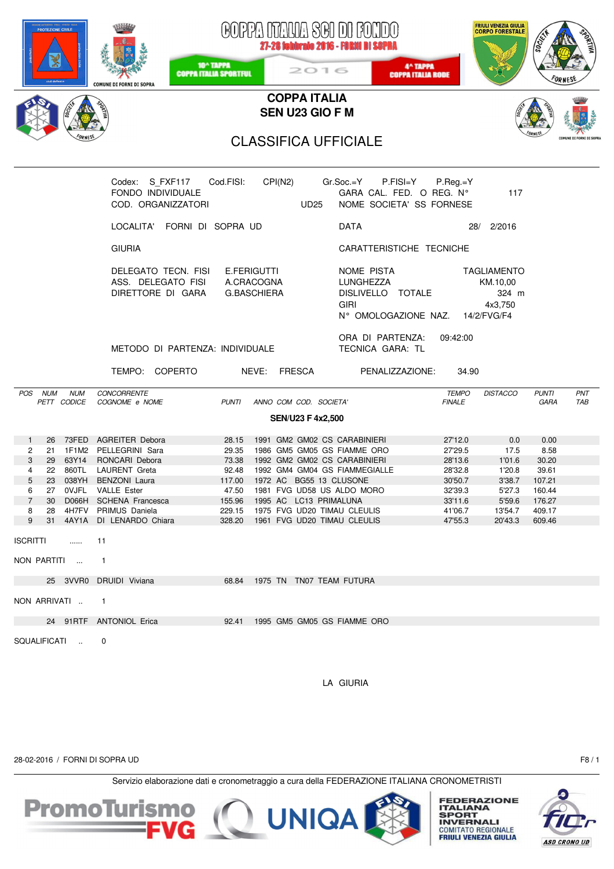|                                                                   | <b>PROTEZIONE CIVILE</b>   |                            | <b>COMUNE DI FORNI DI SOPRA</b>                                                                                                                                                                                                    | 10 <sup>^</sup> TAPPA<br><b>COPPA ITALIA SPORTFUL</b>                             |                    |  | 2016                                   | GOPPA NTALIA SGI DI FONDO<br>27-28 febbraio 2016 - FORNI DI SOPRA<br>4^ TAPPA<br><b>COPPA ITALIA RODE</b>                                                                                                                                           |                                                                                                 | <b>FRIULI VENEZIA GIULIA</b><br><b>CORPO FORESTALE</b>                              | soc,                                                                             |            |  |
|-------------------------------------------------------------------|----------------------------|----------------------------|------------------------------------------------------------------------------------------------------------------------------------------------------------------------------------------------------------------------------------|-----------------------------------------------------------------------------------|--------------------|--|----------------------------------------|-----------------------------------------------------------------------------------------------------------------------------------------------------------------------------------------------------------------------------------------------------|-------------------------------------------------------------------------------------------------|-------------------------------------------------------------------------------------|----------------------------------------------------------------------------------|------------|--|
|                                                                   |                            |                            |                                                                                                                                                                                                                                    |                                                                                   |                    |  | <b>COPPA ITALIA</b><br>SEN U23 GIO F M |                                                                                                                                                                                                                                                     |                                                                                                 |                                                                                     |                                                                                  |            |  |
| <b>CLASSIFICA UFFICIALE</b>                                       |                            |                            |                                                                                                                                                                                                                                    |                                                                                   |                    |  |                                        |                                                                                                                                                                                                                                                     |                                                                                                 |                                                                                     |                                                                                  |            |  |
| Codex: S_FXF117 Cod.FISI: CPI(N2) Gr.Soc.=Y P.FISI=Y P.Reg.=Y     |                            |                            |                                                                                                                                                                                                                                    |                                                                                   |                    |  |                                        |                                                                                                                                                                                                                                                     |                                                                                                 |                                                                                     |                                                                                  |            |  |
|                                                                   |                            |                            | FONDO INDIVIDUALE<br>COD. ORGANIZZATORI                                                                                                                                                                                            |                                                                                   |                    |  | UD25                                   | GARA CAL. FED. O REG. N°<br>NOME SOCIETA' SS FORNESE                                                                                                                                                                                                |                                                                                                 | 117                                                                                 |                                                                                  |            |  |
|                                                                   |                            |                            | LOCALITA' FORNI DI SOPRA UD                                                                                                                                                                                                        |                                                                                   |                    |  |                                        | <b>DATA</b>                                                                                                                                                                                                                                         |                                                                                                 | 28/ 2/2016                                                                          |                                                                                  |            |  |
|                                                                   |                            |                            | <b>GIURIA</b>                                                                                                                                                                                                                      |                                                                                   |                    |  |                                        | CARATTERISTICHE TECNICHE                                                                                                                                                                                                                            |                                                                                                 |                                                                                     |                                                                                  |            |  |
|                                                                   |                            |                            | DELEGATO TECN. FISI E.FERIGUTTI<br>ASS. DELEGATO FISI<br>DIRETTORE DI GARA                                                                                                                                                         | A.CRACOGNA                                                                        | <b>G.BASCHIERA</b> |  |                                        | NOME PISTA<br>LUNGHEZZA<br>DISLIVELLO TOTALE<br><b>GIRI</b><br>N° OMOLOGAZIONE NAZ. 14/2/FVG/F4                                                                                                                                                     |                                                                                                 | <b>TAGLIAMENTO</b><br>KM.10,00<br>324 m<br>4x3,750                                  |                                                                                  |            |  |
|                                                                   |                            |                            | METODO DI PARTENZA: INDIVIDUALE                                                                                                                                                                                                    |                                                                                   |                    |  |                                        | ORA DI PARTENZA:<br>TECNICA GARA: TL                                                                                                                                                                                                                | 09:42:00                                                                                        |                                                                                     |                                                                                  |            |  |
|                                                                   |                            |                            | TEMPO: COPERTO                                                                                                                                                                                                                     |                                                                                   |                    |  | NEVE: FRESCA                           | PENALIZZAZIONE: 34.90                                                                                                                                                                                                                               |                                                                                                 |                                                                                     |                                                                                  |            |  |
|                                                                   |                            | POS NUM NUM<br>PETT CODICE | CONCORRENTE<br>COGNOME e NOME                                                                                                                                                                                                      | <b>PUNTI</b>                                                                      |                    |  | ANNO COM COD. SOCIETA'                 |                                                                                                                                                                                                                                                     | <b>TEMPO</b><br><b>FINALE</b>                                                                   | <b>DISTACCO</b>                                                                     | <b>PUNTI</b><br><b>GARA</b>                                                      | PNT<br>TAB |  |
|                                                                   |                            |                            |                                                                                                                                                                                                                                    |                                                                                   |                    |  | <b>SEN/U23 F 4x2,500</b>               |                                                                                                                                                                                                                                                     |                                                                                                 |                                                                                     |                                                                                  |            |  |
| $\mathbf{1}$<br>2<br>3<br>4<br>5<br>6<br>$\overline{7}$<br>8<br>9 | 29<br>23<br>30<br>28<br>31 |                            | 26 73FED AGREITER Debora<br>21 1F1M2 PELLEGRINI Sara<br>63Y14 RONCARI Debora<br>22 860TL LAURENT Greta<br>038YH BENZONI Laura<br>27 OVJFL VALLE Ester<br>D066H SCHENA Francesca<br>4H7FV PRIMUS Daniela<br>4AY1A DI LENARDO Chiara | 28.15<br>29.35<br>73.38<br>92.48<br>117.00<br>47.50<br>155.96<br>229.15<br>328.20 |                    |  | 1995 AC LC13 PRIMALUNA                 | 1991 GM2 GM02 CS CARABINIERI<br>1986 GM5 GM05 GS FIAMME ORO<br>1992 GM2 GM02 CS CARABINIERI<br>1992 GM4 GM04 GS FIAMMEGIALLE<br>1972 AC BG55 13 CLUSONE<br>1981 FVG UD58 US ALDO MORO<br>1975 FVG UD20 TIMAU CLEULIS<br>1961 FVG UD20 TIMAU CLEULIS | 27'12.0<br>27'29.5<br>28'13.6<br>28'32.8<br>30'50.7<br>32'39.3<br>33'11.6<br>41'06.7<br>47'55.3 | 0.0<br>17.5<br>1'01.6<br>1'20.8<br>3'38.7<br>5'27.3<br>5'59.6<br>13'54.7<br>20'43.3 | 0.00<br>8.58<br>30.20<br>39.61<br>107.21<br>160.44<br>176.27<br>409.17<br>609.46 |            |  |
| <b>ISCRITTI</b>                                                   |                            | .                          | 11                                                                                                                                                                                                                                 |                                                                                   |                    |  |                                        |                                                                                                                                                                                                                                                     |                                                                                                 |                                                                                     |                                                                                  |            |  |
| NON PARTITI                                                       |                            |                            | $\mathbf{1}$                                                                                                                                                                                                                       |                                                                                   |                    |  |                                        |                                                                                                                                                                                                                                                     |                                                                                                 |                                                                                     |                                                                                  |            |  |
|                                                                   |                            |                            | 25 3VVR0 DRUIDI Viviana                                                                                                                                                                                                            |                                                                                   |                    |  |                                        | 68.84 1975 TN TN07 TEAM FUTURA                                                                                                                                                                                                                      |                                                                                                 |                                                                                     |                                                                                  |            |  |
| NON ARRIVATI                                                      |                            |                            | $\mathbf{1}$                                                                                                                                                                                                                       |                                                                                   |                    |  |                                        |                                                                                                                                                                                                                                                     |                                                                                                 |                                                                                     |                                                                                  |            |  |
|                                                                   |                            |                            | 24 91RTF ANTONIOL Erica                                                                                                                                                                                                            | 92.41                                                                             |                    |  |                                        | 1995 GM5 GM05 GS FIAMME ORO                                                                                                                                                                                                                         |                                                                                                 |                                                                                     |                                                                                  |            |  |
|                                                                   |                            | SQUALIFICATI               | 0                                                                                                                                                                                                                                  |                                                                                   |                    |  |                                        |                                                                                                                                                                                                                                                     |                                                                                                 |                                                                                     |                                                                                  |            |  |

LA GIURIA

28-02-2016 / FORNI DI SOPRA UD F8 / 1





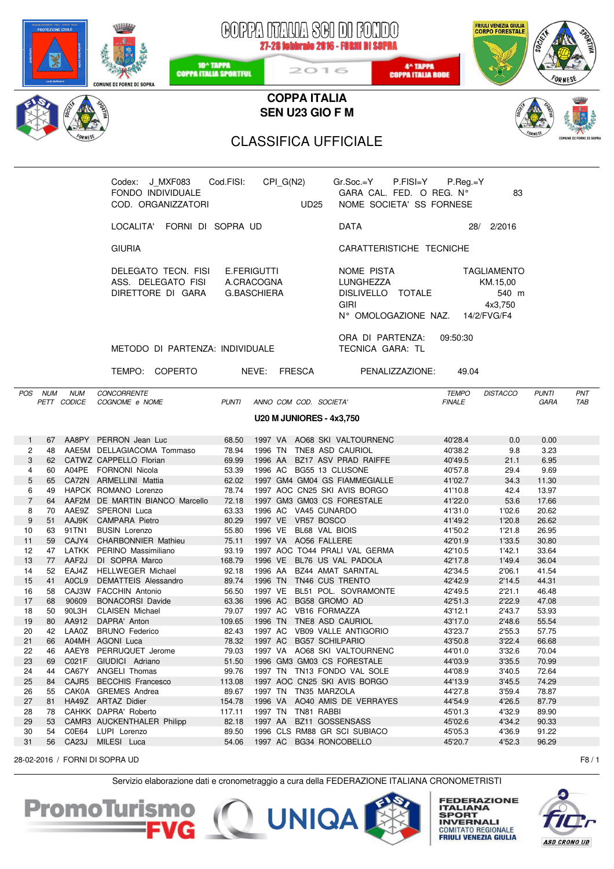|                      | <b>PROTEZIONE CIVILE</b> |             | <b>COMUNE DI FORNI DI SOPRA</b>                                            | 10 <sup>^</sup> TAPPA<br><b>COPPA ITALIA SPORTFUL</b> | GOPPA NTAUA SGI DI FONDO<br>27-28 Sebbraio 2016 - FORNI DI SOPRA<br>2016 | 4^ TAPPA<br><b>COPPA ITALIA RODE</b>                                                            |                               | FRIULI VENEZIA GIULIA<br>CORPO FORESTALE    | <b>SOCIES</b>        |                         |
|----------------------|--------------------------|-------------|----------------------------------------------------------------------------|-------------------------------------------------------|--------------------------------------------------------------------------|-------------------------------------------------------------------------------------------------|-------------------------------|---------------------------------------------|----------------------|-------------------------|
|                      |                          |             |                                                                            |                                                       | <b>COPPA ITALIA</b><br>SEN U23 GIO F M                                   |                                                                                                 |                               |                                             |                      |                         |
|                      |                          |             |                                                                            |                                                       |                                                                          |                                                                                                 |                               |                                             |                      |                         |
|                      |                          |             |                                                                            |                                                       | <b>CLASSIFICA UFFICIALE</b>                                              |                                                                                                 |                               |                                             |                      | COMUNE DT FORNT DT SOPR |
|                      |                          |             |                                                                            |                                                       |                                                                          |                                                                                                 |                               |                                             |                      |                         |
|                      |                          |             | Codex: J_MXF083 Cod.FISI:<br>FONDO INDIVIDUALE<br>COD. ORGANIZZATORI       |                                                       | CPI_G(N2)<br><b>UD25</b>                                                 | $Gr.Soc = Y$ P.FISI=Y<br>GARA CAL. FED. O REG. N°<br>NOME SOCIETA' SS FORNESE                   | $P_{\cdot}$ Reg.=Y            | 83                                          |                      |                         |
|                      |                          |             | LOCALITA' FORNI DI SOPRA UD                                                |                                                       |                                                                          | <b>DATA</b>                                                                                     |                               | 28/ 2/2016                                  |                      |                         |
|                      |                          |             | <b>GIURIA</b>                                                              |                                                       |                                                                          | CARATTERISTICHE TECNICHE                                                                        |                               |                                             |                      |                         |
|                      |                          |             | DELEGATO TECN. FISI E.FERIGUTTI<br>ASS. DELEGATO FISI<br>DIRETTORE DI GARA |                                                       | A.CRACOGNA<br><b>G.BASCHIERA</b>                                         | NOME PISTA<br>LUNGHEZZA<br>DISLIVELLO TOTALE<br><b>GIRI</b><br>N° OMOLOGAZIONE NAZ. 14/2/FVG/F4 |                               | TAGLIAMENTO<br>KM.15,00<br>540 m<br>4x3,750 |                      |                         |
|                      |                          |             | METODO DI PARTENZA: INDIVIDUALE                                            |                                                       |                                                                          | ORA DI PARTENZA:<br>TECNICA GARA: TL                                                            | 09:50:30                      |                                             |                      |                         |
|                      |                          |             | TEMPO: COPERTO NEVE: FRESCA                                                |                                                       |                                                                          | PENALIZZAZIONE: 49.04                                                                           |                               |                                             |                      |                         |
|                      |                          | POS NUM NUM | CONCORRENTE<br>PETT CODICE COGNOME e NOME                                  | PUNTI                                                 | ANNO COM COD. SOCIETA'                                                   |                                                                                                 | <b>TEMPO</b><br><b>FINALE</b> | DISTACCO                                    | <b>PUNTI</b><br>GARA | PNT<br>TAB              |
|                      |                          |             |                                                                            |                                                       | <b>U20 M JUNIORES - 4x3,750</b>                                          |                                                                                                 |                               |                                             |                      |                         |
| $\mathbf{1}$         |                          |             | 67 AA8PY PERRON Jean Luc                                                   | 68.50                                                 | 1997 VA AO68 SKI VALTOURNENC                                             |                                                                                                 | 40'28.4                       | 0.0                                         | 0.00                 |                         |
| $\mathbf{2}^{\circ}$ |                          |             | 48 AAE5M DELLAGIACOMA Tommaso                                              |                                                       | 78.94 1996 TN TNE8 ASD CAURIOL                                           |                                                                                                 | 40'38.2                       | 9.8                                         | 3.23                 |                         |
| 3                    |                          |             | 62 CATWZ CAPPELLO Florian                                                  | 69.99                                                 | 1996 AA BZ17 ASV PRAD RAIFFE                                             |                                                                                                 | 40'49.5                       | 21.1                                        | 6.95                 |                         |
| 4                    |                          |             | 60 A04PE FORNONI Nicola                                                    |                                                       | 53.39  1996  AC  BG55  13  CLUSONE                                       |                                                                                                 | 40'57.8                       | 29.4                                        | 9.69                 |                         |
| 5                    | 65                       |             | CA72N ARMELLINI Mattia                                                     | 62.02                                                 | 1997 GM4 GM04 GS FIAMMEGIALLE                                            |                                                                                                 | 41'02.7                       | 34.3                                        | 11.30                |                         |
| 6<br>$\overline{7}$  | 49<br>64                 |             | HAPCK ROMANO Lorenzo<br>AAF2M DE MARTIN BIANCO Marcello                    | 78.74<br>72.18                                        | 1997 AOC CN25 SKI AVIS BORGO<br>1997 GM3 GM03 CS FORESTALE               |                                                                                                 | 41'10.8<br>41'22.0            | 42.4<br>53.6                                | 13.97<br>17.66       |                         |
| 8                    | 70                       |             | AAE9Z SPERONI Luca                                                         | 63.33                                                 | 1996 AC VA45 CUNARDO                                                     |                                                                                                 | 41'31.0                       | 1'02.6                                      | 20.62                |                         |
| 9                    | 51                       |             | AAJ9K CAMPARA Pietro                                                       | 80.29                                                 | 1997 VE VR57 BOSCO                                                       |                                                                                                 | 41'49.2                       | 1'20.8                                      | 26.62                |                         |
| 10                   | 63                       | 91TN1       | <b>BUSIN Lorenzo</b>                                                       | 55.80                                                 | 1996 VE BL68 VAL BIOIS                                                   |                                                                                                 | 41'50.2                       | 1'21.8                                      | 26.95                |                         |
| 11                   | 59                       |             | CAJY4 CHARBONNIER Mathieu                                                  | 75.11                                                 | 1997 VA AO56 FALLERE                                                     |                                                                                                 | 42'01.9                       | 1'33.5                                      | 30.80                |                         |
| 12                   | 47                       |             | LATKK PERINO Massimiliano                                                  | 93.19                                                 | 1997 AOC TO44 PRALI VAL GERMA                                            |                                                                                                 | 42'10.5                       | 1'42.1                                      | 33.64                |                         |
| 13<br>14             | 77<br>52                 | AAF2J       | DI SOPRA Marco<br>EAJ4Z HELLWEGER Michael                                  | 168.79<br>92.18                                       | 1996 VE BL76 US VAL PADOLA<br>1996 AA BZ44 AMAT SARNTAL                  |                                                                                                 | 42'17.8<br>42'34.5            | 1'49.4<br>2'06.1                            | 36.04<br>41.54       |                         |
| 15                   | 41                       | A0CL9       | DEMATTEIS Alessandro                                                       | 89.74                                                 | 1996 TN TN46 CUS TRENTO                                                  |                                                                                                 | 42'42.9                       | 2'14.5                                      | 44.31                |                         |
| 16                   | 58                       |             | CAJ3W FACCHIN Antonio                                                      | 56.50                                                 | 1997 VE                                                                  | BL51 POL. SOVRAMONTE                                                                            | 42'49.5                       | 2'21.1                                      | 46.48                |                         |
| 17                   | 68                       | 90609       | <b>BONACORSI Davide</b>                                                    | 63.36                                                 | 1996 AC<br>BG58 GROMO AD                                                 |                                                                                                 | 42'51.3                       | 2'22.9                                      | 47.08                |                         |
| 18                   | 50                       | 90L3H       | <b>CLAISEN Michael</b>                                                     | 79.07                                                 | 1997 AC VB16 FORMAZZA                                                    |                                                                                                 | 43'12.1                       | 2'43.7                                      | 53.93                |                         |
| 19                   | 80                       | AA912       | DAPRA' Anton                                                               | 109.65                                                | 1996 TN                                                                  | TNE8 ASD CAURIOL                                                                                | 43'17.0                       | 2'48.6                                      | 55.54                |                         |
| 20<br>21             | 42<br>66                 |             | LAA0Z BRUNO Federico<br>A04MH AGONI Luca                                   | 82.43<br>78.32                                        | 1997 AC VB09 VALLE ANTIGORIO<br>1997 AC BG57 SCHILPARIO                  |                                                                                                 | 43'23.7<br>43'50.8            | 2'55.3<br>3'22.4                            | 57.75<br>66.68       |                         |
| 22                   | 46                       |             | AAEY8 PERRUQUET Jerome                                                     | 79.03                                                 | 1997 VA AO68 SKI VALTOURNENC                                             |                                                                                                 | 44'01.0                       | 3'32.6                                      | 70.04                |                         |
| 23                   | 69                       | C021F       | GIUDICI Adriano                                                            | 51.50                                                 | 1996 GM3 GM03 CS FORESTALE                                               |                                                                                                 | 44'03.9                       | 3'35.5                                      | 70.99                |                         |
| 24                   | 44                       |             | CA67Y ANGELI Thomas                                                        | 99.76                                                 | 1997 TN TN13 FONDO VAL SOLE                                              |                                                                                                 | 44'08.9                       | 3'40.5                                      | 72.64                |                         |
| 25                   | 84                       |             | CAJR5 BECCHIS Francesco                                                    | 113.08                                                | 1997 AOC CN25 SKI AVIS BORGO                                             |                                                                                                 | 44'13.9                       | 3'45.5                                      | 74.29                |                         |
| 26                   | 55                       |             | CAK0A GREMES Andrea                                                        | 89.67                                                 | 1997 TN TN35 MARZOLA                                                     |                                                                                                 | 44'27.8                       | 3'59.4                                      | 78.87                |                         |
| 27<br>28             | 81<br>78                 |             | HA49Z ARTAZ Didier<br>CAHKK DAPRA' Roberto                                 | 154.78<br>117.11                                      | 1996 VA AO40 AMIS DE VERRAYES<br>1997 TN TN81 RABBI                      |                                                                                                 | 44'54.9<br>45'01.3            | 4'26.5<br>4'32.9                            | 87.79<br>89.90       |                         |
| 29                   | 53                       |             | CAMR3 AUCKENTHALER Philipp                                                 | 82.18                                                 | 1997 AA BZ11 GOSSENSASS                                                  |                                                                                                 | 45'02.6                       | 4'34.2                                      | 90.33                |                         |
| 30                   |                          |             | 54 C0E64 LUPI Lorenzo                                                      | 89.50                                                 | 1996 CLS RM88 GR SCI SUBIACO                                             |                                                                                                 | 45'05.3                       | 4'36.9                                      | 91.22                |                         |
| 31                   |                          |             | 56 CA23J MILESI Luca                                                       | 54.06                                                 | 1997 AC BG34 RONCOBELLO                                                  |                                                                                                 | 45'20.7                       | 4'52.3                                      | 96.29                |                         |
|                      |                          |             | 28-02-2016 / FORNI DI SOPRA UD                                             |                                                       |                                                                          |                                                                                                 |                               |                                             |                      | F8/1                    |

Servizio elaborazione dati e cronometraggio a cura della FEDERAZIONE ITALIANA CRONOMETRISTI



**FEDERAZIONE<br>ITALIANA<br>SPORT<br>INVERNALI<br>COMITATO REGIONALE<br>FRIULI VENEZIA GIULIA** 

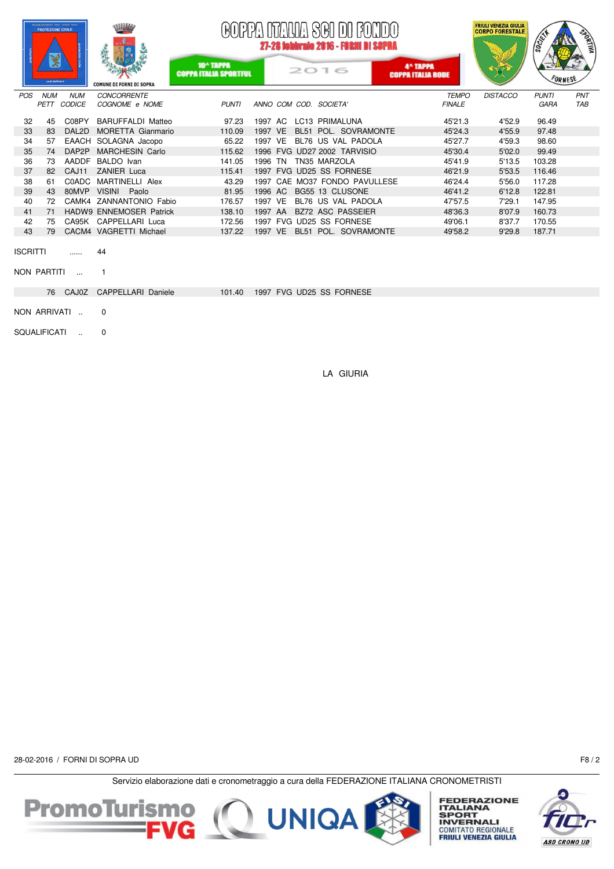|                 | NO AUTOMOBIA EDEEL VENEZIA GRI<br><b>PROTEZIONE CIVILE</b><br>X<br>civil defence |              | <b>COMUNE DI FORNI DI SOPRA</b> | 10^ TAPPA<br><b>COPPA ITALIA SPORTFUL</b> |         |  | GOPPA ITAUA SGI DI FONDO<br>27-28 febbraio 2016 - FORNI DI SOPRA<br>2016 | 4^ TAPPA<br><b>COPPA ITALIA RODE</b> |               | <b>FRIULI VENEZIA GIULIA</b><br><b>CORPO FORESTALE</b> | <b>SOCIETY</b><br>FORNESE | <b>RORTIVA</b> |
|-----------------|----------------------------------------------------------------------------------|--------------|---------------------------------|-------------------------------------------|---------|--|--------------------------------------------------------------------------|--------------------------------------|---------------|--------------------------------------------------------|---------------------------|----------------|
| POS             | <b>NUM</b>                                                                       | <b>NUM</b>   | <b>CONCORRENTE</b>              |                                           |         |  |                                                                          |                                      | <b>TEMPO</b>  | <b>DISTACCO</b>                                        | <b>PUNTI</b>              | PNT            |
|                 | PETT CODICE                                                                      |              | COGNOME e NOME                  | <b>PUNTI</b>                              |         |  | ANNO COM COD. SOCIETA'                                                   |                                      | <b>FINALE</b> |                                                        | GARA                      | <b>TAB</b>     |
| 32              | 45                                                                               | C08PY        | <b>BARUFFALDI Matteo</b>        | 97.23                                     | 1997 AC |  | LC13 PRIMALUNA                                                           |                                      | 45'21.3       | 4'52.9                                                 | 96.49                     |                |
| 33              | 83                                                                               | DAL2D        | <b>MORETTA Gianmario</b>        | 110.09                                    | 1997 VE |  | BL51 POL. SOVRAMONTE                                                     |                                      | 45'24.3       | 4'55.9                                                 | 97.48                     |                |
| 34              | 57                                                                               |              | EAACH SOLAGNA Jacopo            | 65.22                                     | 1997 VE |  | BL76 US VAL PADOLA                                                       |                                      | 45'27.7       | 4'59.3                                                 | 98.60                     |                |
| 35              | 74                                                                               | DAP2P        | <b>MARCHESIN Carlo</b>          | 115.62                                    |         |  | 1996 FVG UD27 2002 TARVISIO                                              |                                      | 45'30.4       | 5'02.0                                                 | 99.49                     |                |
| 36              | 73                                                                               | <b>AADDF</b> | BALDO Ivan                      | 141.05                                    | 1996 TN |  | TN35 MARZOLA                                                             |                                      | 45'41.9       | 5'13.5                                                 | 103.28                    |                |
| 37              | 82                                                                               | CAJ11        | <b>ZANIER Luca</b>              | 115.41                                    |         |  | 1997 FVG UD25 SS FORNESE                                                 |                                      | 46'21.9       | 5'53.5                                                 | 116.46                    |                |
| 38              | 61                                                                               | C0ADC        | MARTINELLI Alex                 | 43.29                                     |         |  | 1997 CAE MO37 FONDO PAVULLESE                                            |                                      | 46'24.4       | 5'56.0                                                 | 117.28                    |                |
| 39              | 43                                                                               | 80MVP        | VISINI Paolo                    | 81.95                                     | 1996 AC |  | BG55 13 CLUSONE                                                          |                                      | 46'41.2       | 6'12.8                                                 | 122.81                    |                |
| 40              | 72                                                                               |              | CAMK4 ZANNANTONIO Fabio         | 176.57                                    | 1997 VE |  | BL76 US VAL PADOLA                                                       |                                      | 47'57.5       | 7'29.1                                                 | 147.95                    |                |
| 41              | 71                                                                               |              | <b>HADW9 ENNEMOSER Patrick</b>  | 138.10                                    | 1997 AA |  | BZ72 ASC PASSEIER                                                        |                                      | 48'36.3       | 8'07.9                                                 | 160.73                    |                |
| 42              | 75                                                                               |              | CA95K CAPPELLARI Luca           | 172.56                                    |         |  | 1997 FVG UD25 SS FORNESE                                                 |                                      | 49'06.1       | 8'37.7                                                 | 170.55                    |                |
| 43              | 79                                                                               |              | CACM4 VAGRETTI Michael          | 137.22                                    | 1997 VE |  | BL51 POL. SOVRAMONTE                                                     |                                      | 49'58.2       | 9'29.8                                                 | 187.71                    |                |
| <b>ISCRITTI</b> |                                                                                  | .            | 44                              |                                           |         |  |                                                                          |                                      |               |                                                        |                           |                |
|                 | NON PARTITI                                                                      |              |                                 |                                           |         |  |                                                                          |                                      |               |                                                        |                           |                |
|                 |                                                                                  | 76 CAJ0Z     | CAPPELLARI Daniele              | 101.40                                    |         |  | 1997 FVG UD25 SS FORNESE                                                 |                                      |               |                                                        |                           |                |
|                 | NON ARRIVATI                                                                     |              | 0                               |                                           |         |  |                                                                          |                                      |               |                                                        |                           |                |

SQUALIFICATI .. 0

LA GIURIA

28-02-2016 / FORNI DI SOPRA UD F8 / 2





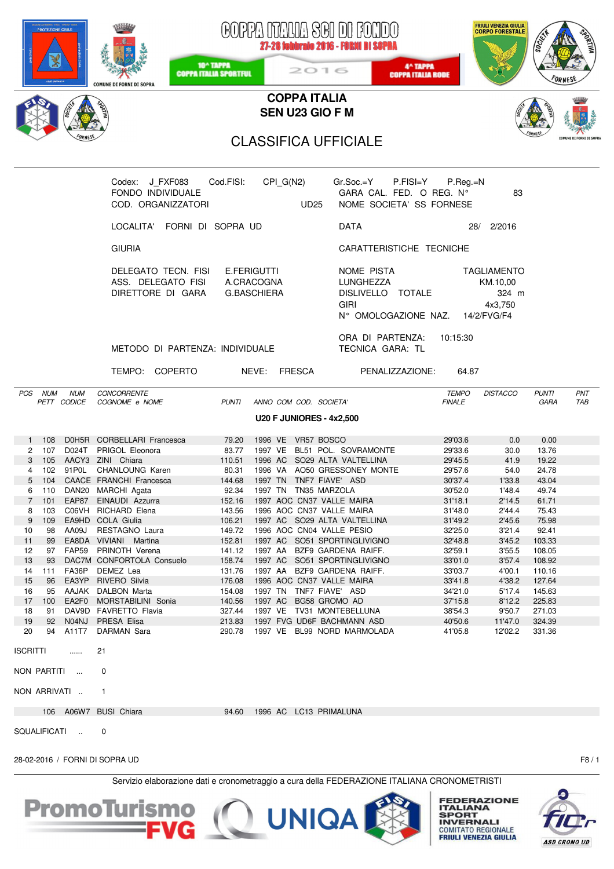| <b>PROTEZIONE CIVILE</b><br><b>COMUNE DI FORNI DI SOPRA</b>                                                                                                                                                                                                                                                                                                                                                                                                                                                                                                                                                                                                                                                                                                                                                                                                             | COPPA NTAUA SCI DI FONDO<br>27-28 febbraio 2016 - FORMI DI SOPRA<br>10 <sup>^</sup> TAPPA<br>4^ TAPPA<br>2016<br><b>COPPA ITALIA SPORTFUL</b><br><b>COPPA ITALIA RODE</b>                                                                                                                                                                                                                                                                                                                                                                                                                                                                                                                                                                                            | <b>FRIULI VENEZIA GIULIA</b><br><b>CORPO FORESTALE</b><br>socies                                                                                                                                                                                                                                                                                                                                                                                                                                                                                                                                                    |  |  |  |  |  |  |  |  |  |  |  |  |
|-------------------------------------------------------------------------------------------------------------------------------------------------------------------------------------------------------------------------------------------------------------------------------------------------------------------------------------------------------------------------------------------------------------------------------------------------------------------------------------------------------------------------------------------------------------------------------------------------------------------------------------------------------------------------------------------------------------------------------------------------------------------------------------------------------------------------------------------------------------------------|----------------------------------------------------------------------------------------------------------------------------------------------------------------------------------------------------------------------------------------------------------------------------------------------------------------------------------------------------------------------------------------------------------------------------------------------------------------------------------------------------------------------------------------------------------------------------------------------------------------------------------------------------------------------------------------------------------------------------------------------------------------------|---------------------------------------------------------------------------------------------------------------------------------------------------------------------------------------------------------------------------------------------------------------------------------------------------------------------------------------------------------------------------------------------------------------------------------------------------------------------------------------------------------------------------------------------------------------------------------------------------------------------|--|--|--|--|--|--|--|--|--|--|--|--|
|                                                                                                                                                                                                                                                                                                                                                                                                                                                                                                                                                                                                                                                                                                                                                                                                                                                                         | <b>COPPA ITALIA</b>                                                                                                                                                                                                                                                                                                                                                                                                                                                                                                                                                                                                                                                                                                                                                  |                                                                                                                                                                                                                                                                                                                                                                                                                                                                                                                                                                                                                     |  |  |  |  |  |  |  |  |  |  |  |  |
|                                                                                                                                                                                                                                                                                                                                                                                                                                                                                                                                                                                                                                                                                                                                                                                                                                                                         | <b>SEN U23 GIO F M</b>                                                                                                                                                                                                                                                                                                                                                                                                                                                                                                                                                                                                                                                                                                                                               |                                                                                                                                                                                                                                                                                                                                                                                                                                                                                                                                                                                                                     |  |  |  |  |  |  |  |  |  |  |  |  |
|                                                                                                                                                                                                                                                                                                                                                                                                                                                                                                                                                                                                                                                                                                                                                                                                                                                                         | COMUNE DI FORNI DI SOPR<br><b>CLASSIFICA UFFICIALE</b>                                                                                                                                                                                                                                                                                                                                                                                                                                                                                                                                                                                                                                                                                                               |                                                                                                                                                                                                                                                                                                                                                                                                                                                                                                                                                                                                                     |  |  |  |  |  |  |  |  |  |  |  |  |
| Codex: J FXF083<br>FONDO INDIVIDUALE<br>COD. ORGANIZZATORI                                                                                                                                                                                                                                                                                                                                                                                                                                                                                                                                                                                                                                                                                                                                                                                                              | Cod.FISI: CPI_G(N2) Gr.Soc.=Y P.FISI=Y P.Reg.=N<br>GARA CAL. FED. O REG. N°<br><b>UD25</b><br>NOME SOCIETA' SS FORNESE                                                                                                                                                                                                                                                                                                                                                                                                                                                                                                                                                                                                                                               | 83                                                                                                                                                                                                                                                                                                                                                                                                                                                                                                                                                                                                                  |  |  |  |  |  |  |  |  |  |  |  |  |
| LOCALITA' FORNI DI SOPRA UD                                                                                                                                                                                                                                                                                                                                                                                                                                                                                                                                                                                                                                                                                                                                                                                                                                             | <b>DATA</b>                                                                                                                                                                                                                                                                                                                                                                                                                                                                                                                                                                                                                                                                                                                                                          | 28/ 2/2016                                                                                                                                                                                                                                                                                                                                                                                                                                                                                                                                                                                                          |  |  |  |  |  |  |  |  |  |  |  |  |
| <b>GIURIA</b>                                                                                                                                                                                                                                                                                                                                                                                                                                                                                                                                                                                                                                                                                                                                                                                                                                                           | CARATTERISTICHE TECNICHE                                                                                                                                                                                                                                                                                                                                                                                                                                                                                                                                                                                                                                                                                                                                             |                                                                                                                                                                                                                                                                                                                                                                                                                                                                                                                                                                                                                     |  |  |  |  |  |  |  |  |  |  |  |  |
| DELEGATO TECN. FISI E.FERIGUTTI<br>ASS. DELEGATO FISI A.CRACOGNA<br>DIRETTORE DI GARA                                                                                                                                                                                                                                                                                                                                                                                                                                                                                                                                                                                                                                                                                                                                                                                   | NOME PISTA<br>LUNGHEZZA<br><b>G.BASCHIERA</b><br>DISLIVELLO TOTALE<br><b>GIRI</b>                                                                                                                                                                                                                                                                                                                                                                                                                                                                                                                                                                                                                                                                                    | TAGLIAMENTO<br>KM.10.00<br>324 m<br>4x3,750<br>N° OMOLOGAZIONE NAZ. 14/2/FVG/F4                                                                                                                                                                                                                                                                                                                                                                                                                                                                                                                                     |  |  |  |  |  |  |  |  |  |  |  |  |
|                                                                                                                                                                                                                                                                                                                                                                                                                                                                                                                                                                                                                                                                                                                                                                                                                                                                         | ORA DI PARTENZA: 10:15:30<br>METODO DI PARTENZA: INDIVIDUALE<br>TECNICA GARA: TL                                                                                                                                                                                                                                                                                                                                                                                                                                                                                                                                                                                                                                                                                     |                                                                                                                                                                                                                                                                                                                                                                                                                                                                                                                                                                                                                     |  |  |  |  |  |  |  |  |  |  |  |  |
|                                                                                                                                                                                                                                                                                                                                                                                                                                                                                                                                                                                                                                                                                                                                                                                                                                                                         | TEMPO: COPERTO NEVE: FRESCA<br>PENALIZZAZIONE: 64.87                                                                                                                                                                                                                                                                                                                                                                                                                                                                                                                                                                                                                                                                                                                 |                                                                                                                                                                                                                                                                                                                                                                                                                                                                                                                                                                                                                     |  |  |  |  |  |  |  |  |  |  |  |  |
| POS NUM<br><b>CONCORRENTE</b><br><b>NUM</b><br>PETT CODICE<br>COGNOME e NOME                                                                                                                                                                                                                                                                                                                                                                                                                                                                                                                                                                                                                                                                                                                                                                                            | PUNTI ANNO COM COD. SOCIETA'                                                                                                                                                                                                                                                                                                                                                                                                                                                                                                                                                                                                                                                                                                                                         | DISTACCO<br><b>PUNTI</b><br>PNT<br><b>TEMPO</b><br><b>FINALE</b><br>GARA<br>TAB                                                                                                                                                                                                                                                                                                                                                                                                                                                                                                                                     |  |  |  |  |  |  |  |  |  |  |  |  |
|                                                                                                                                                                                                                                                                                                                                                                                                                                                                                                                                                                                                                                                                                                                                                                                                                                                                         | <b>U20 F JUNIORES - 4x2,500</b>                                                                                                                                                                                                                                                                                                                                                                                                                                                                                                                                                                                                                                                                                                                                      |                                                                                                                                                                                                                                                                                                                                                                                                                                                                                                                                                                                                                     |  |  |  |  |  |  |  |  |  |  |  |  |
| 1 108 D0H5R CORBELLARI Francesca 79.20 1996 VE VR57 BOSCO<br>2 107<br>D024T PRIGOL Eleonora<br>3 105 AACY3 ZINI Chiara<br>4 102 91P0L CHANLOUNG Karen<br>CAACE FRANCHI Francesca<br>5<br>104<br>110<br>DAN20 MARCHI Agata<br>6<br>$\overline{7}$<br>EAP87<br>EINAUDI Azzurra<br>101<br>C06VH RICHARD Elena<br>8<br>103<br>EA9HD COLA Giulia<br>9<br>109<br>AA09J<br>RESTAGNO Laura<br>10<br>98<br>11<br>99<br>EA8DA VIVIANI Martina<br>12<br>FAP59 PRINOTH Verena<br>97<br>13<br>93<br>DAC7M CONFORTOLA Consuelo<br>14<br>FA36P DEMEZ Lea<br>111<br>15<br>EA3YP RIVERO Silvia<br>96<br>16<br>AAJAK DALBON Marta<br>95<br>EA2F0<br>17<br>100<br>MORSTABILINI Sonia<br>DAV9D FAVRETTO Flavia<br>18<br>91<br>19<br>92<br>N04NJ<br>PRESA Elisa<br>20<br>94<br>A11T7<br>DARMAN Sara<br><b>ISCRITTI</b><br>21<br>$\cdots$<br>NON PARTITI<br>0<br>NON ARRIVATI<br>$\mathbf{1}$ | 83.77 1997 VE BL51 POL. SOVRAMONTE<br>1996 AC SO29 ALTA VALTELLINA<br>110.51<br>80.31 1996 VA AO50 GRESSONEY MONTE<br>144.68<br>1997 TN TNF7 FIAVE' ASD<br>1997 TN TN35 MARZOLA<br>92.34<br>152.16<br>1997 AOC CN37 VALLE MAIRA<br>1996 AOC CN37 VALLE MAIRA<br>143.56<br>1997 AC SO29 ALTA VALTELLINA<br>106.21<br>1996 AOC CN04 VALLE PESIO<br>149.72<br>1997 AC SO51 SPORTINGLIVIGNO<br>152.81<br>141.12<br>1997 AA BZF9 GARDENA RAIFF.<br>158.74<br>1997 AC SO51 SPORTINGLIVIGNO<br>131.76<br>1997 AA BZF9 GARDENA RAIFF.<br>176.08<br>1996 AOC CN37 VALLE MAIRA<br>154.08<br>1997 TN TNF7 FIAVE' ASD<br>140.56<br>1997 AC BG58 GROMO AD<br>1997 VE TV31 MONTEBELLUNA<br>327.44<br>213.83<br>1997 FVG UD6F BACHMANN ASD<br>290.78<br>1997 VE BL99 NORD MARMOLADA | 29'03.6<br>0.00<br>0.0<br>29'33.6<br>30.0<br>13.76<br>29'45.5<br>41.9<br>19.22<br>29'57.6<br>54.0 24.78<br>30'37.4<br>1'33.8<br>43.04<br>30'52.0<br>1'48.4<br>49.74<br>31'18.1<br>2'14.5<br>61.71<br>31'48.0<br>2'44.4<br>75.43<br>31'49.2<br>2'45.6<br>75.98<br>32'25.0<br>3'21.4<br>92.41<br>32'48.8<br>3'45.2<br>103.33<br>32'59.1<br>3'55.5<br>108.05<br>33'01.0<br>3'57.4<br>108.92<br>33'03.7<br>4'00.1<br>110.16<br>33'41.8<br>4'38.2<br>127.64<br>34'21.0<br>5'17.4<br>145.63<br>37'15.8<br>8'12.2<br>225.83<br>38'54.3<br>9'50.7<br>271.03<br>40'50.6<br>11'47.0<br>324.39<br>41'05.8<br>12'02.2<br>331.36 |  |  |  |  |  |  |  |  |  |  |  |  |
| 106 A06W7 BUSI Chiara                                                                                                                                                                                                                                                                                                                                                                                                                                                                                                                                                                                                                                                                                                                                                                                                                                                   | 1996 AC LC13 PRIMALUNA<br>94.60                                                                                                                                                                                                                                                                                                                                                                                                                                                                                                                                                                                                                                                                                                                                      |                                                                                                                                                                                                                                                                                                                                                                                                                                                                                                                                                                                                                     |  |  |  |  |  |  |  |  |  |  |  |  |
| SQUALIFICATI<br>0                                                                                                                                                                                                                                                                                                                                                                                                                                                                                                                                                                                                                                                                                                                                                                                                                                                       |                                                                                                                                                                                                                                                                                                                                                                                                                                                                                                                                                                                                                                                                                                                                                                      |                                                                                                                                                                                                                                                                                                                                                                                                                                                                                                                                                                                                                     |  |  |  |  |  |  |  |  |  |  |  |  |
| 28-02-2016 / FORNI DI SOPRA UD                                                                                                                                                                                                                                                                                                                                                                                                                                                                                                                                                                                                                                                                                                                                                                                                                                          | Servizio elaborazione dati e cronometraggio a cura della FEDERAZIONE ITALIANA CRONOMETRISTI                                                                                                                                                                                                                                                                                                                                                                                                                                                                                                                                                                                                                                                                          | F8/1                                                                                                                                                                                                                                                                                                                                                                                                                                                                                                                                                                                                                |  |  |  |  |  |  |  |  |  |  |  |  |





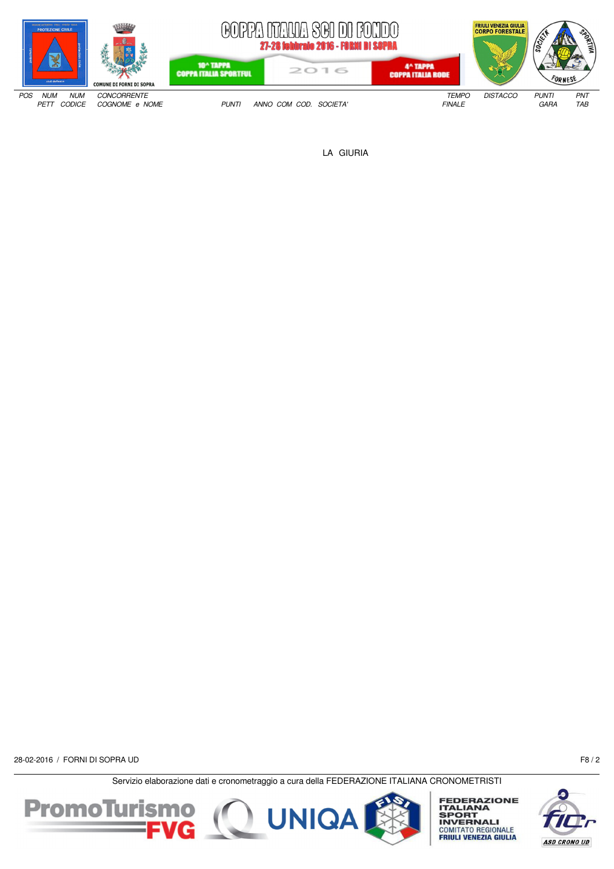

LA GIURIA

28-02-2016 / FORNI DI SOPRA UD F8 / 2





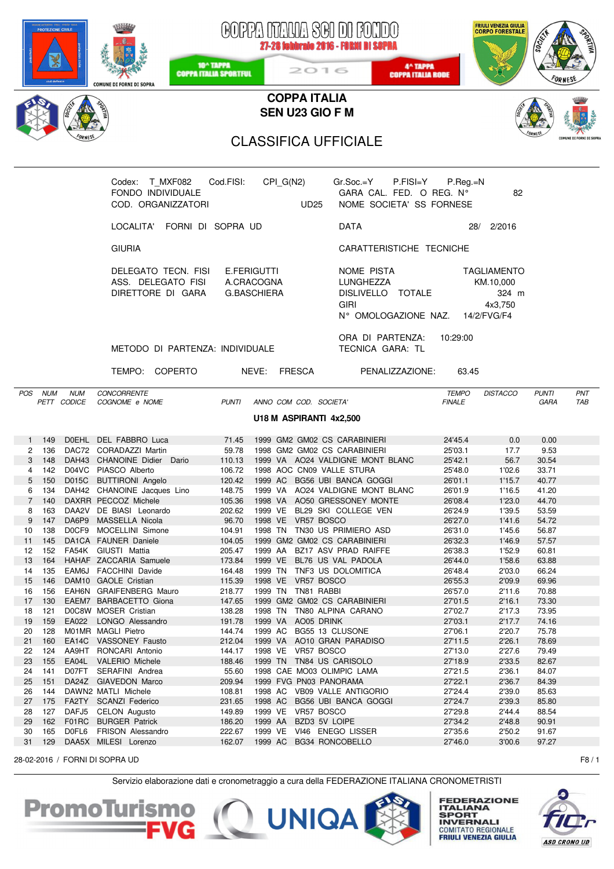| <b>ROTEZIONE CIVILE</b><br>10 <sup>^</sup> TAPPA<br><b>COPPA ITALIA SPORTFUL</b><br><b>COMUNE DI FORNI DI SOPRA</b>           |                                             | 2016                                                 | GOPPA NTALIA SGI DI FONDO<br>27-28 febbraio 2016 - FORNI DI SOPRA<br>4^ TAPPA<br><b>COPPA ITALIA RODE</b> |                               | <b>FRIULI VENEZIA GIULIA</b><br><b>CORPO FORESTALE</b> |                             |                         |
|-------------------------------------------------------------------------------------------------------------------------------|---------------------------------------------|------------------------------------------------------|-----------------------------------------------------------------------------------------------------------|-------------------------------|--------------------------------------------------------|-----------------------------|-------------------------|
|                                                                                                                               |                                             | <b>COPPA ITALIA</b><br>SEN U23 GIO F M               |                                                                                                           |                               |                                                        |                             |                         |
|                                                                                                                               |                                             |                                                      |                                                                                                           |                               |                                                        |                             |                         |
|                                                                                                                               |                                             | <b>CLASSIFICA UFFICIALE</b>                          |                                                                                                           |                               |                                                        |                             | COMUNE DI FORNI DI SOPI |
|                                                                                                                               |                                             |                                                      |                                                                                                           |                               |                                                        |                             |                         |
| Codex: T_MXF082<br>FONDO INDIVIDUALE<br>COD. ORGANIZZATORI                                                                    | Cod.FISI:                                   | CPI_G(N2)<br><b>Example 10</b> UD25                  | Gr.Soc.=Y<br>$P.FISI = Y$<br>GARA CAL. FED. O REG. N°<br>NOME SOCIETA' SS FORNESE                         | $P_{\cdot}$ Reg $_{\cdot}$ =N | 82                                                     |                             |                         |
| LOCALITA' FORNI DI SOPRA UD                                                                                                   |                                             |                                                      | <b>DATA</b>                                                                                               |                               | 28/ 2/2016                                             |                             |                         |
| <b>GIURIA</b>                                                                                                                 |                                             |                                                      | CARATTERISTICHE TECNICHE                                                                                  |                               |                                                        |                             |                         |
| DELEGATO TECN. FISI E.FERIGUTTI<br>ASS. DELEGATO FISI A.CRACOGNA<br>DIRETTORE DI GARA                                         | <b>G.BASCHIERA</b>                          |                                                      | NOME PISTA<br>LUNGHEZZA<br>DISLIVELLO TOTALE<br><b>GIRI</b><br>N° OMOLOGAZIONE NAZ. 14/2/FVG/F4           |                               | TAGLIAMENTO<br>KM.10,000<br>324 m<br>4x3.750           |                             |                         |
| METODO DI PARTENZA: INDIVIDUALE                                                                                               |                                             |                                                      | ORA DI PARTENZA: 10:29:00<br>TECNICA GARA: TL                                                             |                               |                                                        |                             |                         |
| TEMPO: COPERTO                                                                                                                | NEVE: FRESCA                                |                                                      | PENALIZZAZIONE: 63.45                                                                                     |                               |                                                        |                             |                         |
| CONCORRENTE<br>POS NUM<br><b>NUM</b><br>PETT CODICE<br>COGNOME e NOME                                                         | PUNTI                                       | ANNO COM COD. SOCIETA'                               |                                                                                                           | <b>TEMPO</b><br><b>FINALE</b> | DISTACCO                                               | <b>PUNTI</b><br><b>GARA</b> | PNT<br>TAB              |
|                                                                                                                               |                                             | U18 M ASPIRANTI 4x2,500                              |                                                                                                           |                               |                                                        |                             |                         |
|                                                                                                                               |                                             |                                                      |                                                                                                           |                               |                                                        |                             |                         |
| DOEHL DEL FABBRO Luca<br>149<br>136<br>DAC72 CORADAZZI Martin<br>2                                                            | 71.45<br>59.78 1998 GM2 GM02 CS CARABINIERI |                                                      | 1999 GM2 GM02 CS CARABINIERI                                                                              | 24'45.4<br>25'03.1            | 0.0<br>17.7                                            | 0.00<br>9.53                |                         |
| DAH43 CHANOINE Didier Dario<br>3 148                                                                                          |                                             |                                                      | 110.13 1999 VA AO24 VALDIGNE MONT BLANC                                                                   | 25'42.1                       | 56.7                                                   | 30.54                       |                         |
| 4<br>142<br>D04VC<br>PIASCO Alberto                                                                                           | 106.72                                      | 1998 AOC CN09 VALLE STURA                            |                                                                                                           | 25'48.0                       | 1'02.6                                                 | 33.71                       |                         |
| 5<br>150<br>D015C<br><b>BUTTIRONI Angelo</b>                                                                                  | 120.42<br>1999 AC                           |                                                      | BG56 UBI BANCA GOGGI                                                                                      | 26'01.1                       | 1'15.7                                                 | 40.77                       |                         |
| 134<br>DAH42 CHANOINE Jacques Lino<br>6                                                                                       | 148.75<br>1999 VA                           |                                                      | AO24 VALDIGNE MONT BLANC                                                                                  | 26'01.9                       | 1'16.5                                                 | 41.20                       |                         |
| $\overline{7}$<br>140<br>DAXRR PECCOZ Michele                                                                                 | 105.36<br>1998 VA                           |                                                      | AO50 GRESSONEY MONTE                                                                                      | 26'08.4                       | 1'23.0                                                 | 44.70                       |                         |
| 163<br>DAA2V DE BIASI Leonardo<br>8                                                                                           | 202.62<br>1999 VE                           |                                                      | BL29 SKI COLLEGE VEN                                                                                      | 26'24.9                       | 1'39.5                                                 | 53.59                       |                         |
| 9<br>DA6P9 MASSELLA Nicola<br>147                                                                                             | 96.70                                       | 1998 VE VR57 BOSCO                                   |                                                                                                           | 26'27.0                       | 1'41.6                                                 | 54.72                       |                         |
| 138<br>DOCF9 MOCELLINI Simone<br>10<br>11<br>145<br>DA1CA FAUNER Daniele                                                      | 104.91<br>104.05                            |                                                      | 1998 TN TN30 US PRIMIERO ASD<br>1999 GM2 GM02 CS CARABINIERI                                              | 26'31.0<br>26'32.3            | 1'45.6<br>1'46.9                                       | 56.87<br>57.57              |                         |
| 12<br>152<br>FA54K GIUSTI Mattia                                                                                              | 205.47                                      |                                                      | 1999 AA BZ17 ASV PRAD RAIFFE                                                                              | 26'38.3                       | 1'52.9                                                 | 60.81                       |                         |
| 164<br>HAHAF ZACCARIA Samuele<br>13                                                                                           | 173.84<br>1999 VE                           |                                                      | BL76 US VAL PADOLA                                                                                        | 26'44.0                       | 1'58.6                                                 | 63.88                       |                         |
| 14<br>135<br>EAM6J FACCHINI Davide                                                                                            | 164.48<br>1999 TN                           |                                                      | TNF3 US DOLOMITICA                                                                                        | 26'48.4                       | 2'03.0                                                 | 66.24                       |                         |
| 15<br>146<br>DAM10 GAOLE Cristian                                                                                             | 115.39                                      | 1998 VE VR57 BOSCO                                   |                                                                                                           | 26'55.3                       | 2'09.9                                                 | 69.96                       |                         |
| 156<br>EAH6N GRAIFENBERG Mauro<br>16                                                                                          | 218.77                                      | 1999 TN TN81 RABBI                                   |                                                                                                           | 26'57.0                       | 2'11.6                                                 | 70.88                       |                         |
| 17<br>130<br>EAEM7 BARBACETTO Giona                                                                                           | 147.65                                      | 1999 GM2 GM02 CS CARABINIERI                         |                                                                                                           | 27'01.5                       | 2'16.1                                                 | 73.30                       |                         |
| D0C8W MOSER Cristian<br>121<br>18                                                                                             | 138.28<br>1998 TN                           |                                                      | TN80 ALPINA CARANO                                                                                        | 27'02.7                       | 2'17.3                                                 | 73.95                       |                         |
| 159<br>EA022<br>LONGO Alessandro<br>19                                                                                        | 191.78<br>1999 VA                           | AO05 DRINK                                           |                                                                                                           | 27'03.1                       | 2'17.7                                                 | 74.16                       |                         |
| 20<br>128<br>M01MR MAGLI Pietro<br>21<br>160<br>EA14C<br><b>VASSONEY Fausto</b>                                               | 144.74<br>1999 AC<br>212.04<br>1999 VA      | BG55 13 CLUSONE                                      | AO10 GRAN PARADISO                                                                                        | 27'06.1<br>27'11.5            | 2'20.7<br>2'26.1                                       | 75.78<br>78.69              |                         |
| 124<br>22<br>AA9HT RONCARI Antonio                                                                                            | 144.17                                      | 1998 VE VR57 BOSCO                                   |                                                                                                           | 27'13.0                       | 2'27.6                                                 | 79.49                       |                         |
| 155<br>EA04L<br><b>VALERIO Michele</b><br>23                                                                                  | 188.46                                      | 1999 TN TN84 US CARISOLO                             |                                                                                                           | 27'18.9                       | 2'33.5                                                 | 82.67                       |                         |
| 141<br>D07FT<br>SERAFINI Andrea<br>24                                                                                         | 55.60                                       | 1998 CAE MO03 OLIMPIC LAMA                           |                                                                                                           | 27'21.5                       | 2'36.1                                                 | 84.07                       |                         |
| 25<br>151<br>DA24Z GIAVEDON Marco                                                                                             | 209.94                                      | 1999 FVG PN03 PANORAMA                               |                                                                                                           | 27'22.1                       | 2'36.7                                                 | 84.39                       |                         |
| 144<br>DAWN2 MATLI Michele<br>26                                                                                              | 108.81                                      |                                                      | 1998 AC VB09 VALLE ANTIGORIO                                                                              | 27'24.4                       | 2'39.0                                                 | 85.63                       |                         |
| 27<br>175<br>FA2TY SCANZI Federico                                                                                            | 231.65<br>1998 AC                           |                                                      | BG56 UBI BANCA GOGGI                                                                                      | 27'24.7                       | 2'39.3                                                 | 85.80                       |                         |
| 127<br>DAFJ5 CELON Augusto<br>28                                                                                              | 1999 VE<br>149.89                           | VR57 BOSCO                                           |                                                                                                           | 27'29.8                       | 2'44.4                                                 | 88.54                       |                         |
| F01RC<br><b>BURGER Patrick</b><br>29<br>162                                                                                   | 186.20<br>1999 AA                           | BZD3 5V LOIPE                                        |                                                                                                           | 27'34.2                       | 2'48.8                                                 | 90.91                       |                         |
| 165<br>D0FL6<br>FRISON Alessandro<br>30<br>31<br>129<br>DAA5X MILESI Lorenzo                                                  | 222.67<br>162.07                            | 1999 VE VI46 ENEGO LISSER<br>1999 AC BG34 RONCOBELLO |                                                                                                           | 27'35.6<br>27'46.0            | 2'50.2<br>3'00.6                                       | 91.67<br>97.27              |                         |
|                                                                                                                               |                                             |                                                      |                                                                                                           |                               |                                                        |                             |                         |
| 28-02-2016 / FORNI DI SOPRA UD<br>Servizio elaborazione dati e cronometraggio a cura della FEDERAZIONE ITALIANA CRONOMETRISTI |                                             |                                                      |                                                                                                           |                               |                                                        |                             | F8/1                    |

PromoTurismo C UNIQA

**FEDERAZIONE<br>ITALIANA<br>SPORT<br>INVERNALI<br>COMITATO REGIONALE<br>FRIULI VENEZIA GIULIA** 

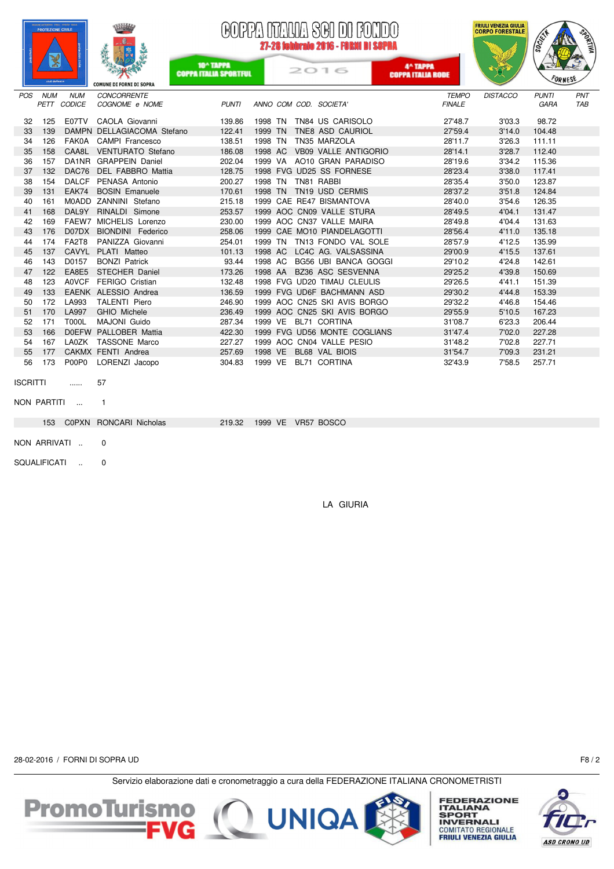



10^ TAPPA<br>COPPA ITALIA SPORTFUL

## Aſ MANA SAN NA RAMA 27-28 febbraio 2016 - FORNI DI SI

2016

4^ TAPPA<br>COPPA ITALIA RODE



|                 |                     |              | <b>COMUNE DI FORNI DI SOPRA</b> |        |                              |               |                 |              |     |
|-----------------|---------------------|--------------|---------------------------------|--------|------------------------------|---------------|-----------------|--------------|-----|
| POS             | <b>NUM</b>          | <b>NUM</b>   | <b>CONCORRENTE</b>              |        |                              | <b>TEMPO</b>  | <b>DISTACCO</b> | <b>PUNTI</b> | PNT |
|                 |                     | PETT CODICE  | COGNOME e NOME                  | PUNTI  | ANNO COM COD. SOCIETA'       | <b>FINALE</b> |                 | GARA         | TAB |
| 32              | 125                 |              | E07TV CAOLA Giovanni            | 139.86 | 1998 TN TN84 US CARISOLO     | 27'48.7       | 3'03.3          | 98.72        |     |
| 33              | 139                 |              | DAMPN DELLAGIACOMA Stefano      | 122.41 | 1999 TN TNE8 ASD CAURIOL     | 27'59.4       | 3'14.0          | 104.48       |     |
| 34              | 126                 |              | FAK0A CAMPI Francesco           | 138.51 | 1998 TN TN35 MARZOLA         | 28'11.7       | 3'26.3          | 111.11       |     |
| 35              | 158                 |              | CAA8L VENTURATO Stefano         | 186.08 | 1998 AC VB09 VALLE ANTIGORIO | 28'14.1       | 3'28.7          | 112.40       |     |
| 36              | 157                 |              | DA1NR GRAPPEIN Daniel           | 202.04 | 1999 VA AO10 GRAN PARADISO   | 28'19.6       | 3'34.2          | 115.36       |     |
| 37              | 132                 |              | DAC76 DEL FABBRO Mattia         | 128.75 | 1998 FVG UD25 SS FORNESE     | 28'23.4       | 3'38.0          | 117.41       |     |
| 38              | 154                 |              | DALCF PENASA Antonio            | 200.27 | 1998 TN TN81 RABBI           | 28'35.4       | 3'50.0          | 123.87       |     |
| 39              | 131                 |              | EAK74 BOSIN Emanuele            | 170.61 | 1998 TN TN19 USD CERMIS      | 28'37.2       | 3'51.8          | 124.84       |     |
| 40              | 161                 |              | M0ADD ZANNINI Stefano           | 215.18 | 1999 CAE RE47 BISMANTOVA     | 28'40.0       | 3'54.6          | 126.35       |     |
| 41              | 168                 |              | DAL9Y RINALDI Simone            | 253.57 | 1999 AOC CN09 VALLE STURA    | 28'49.5       | 4'04.1          | 131.47       |     |
| 42              | 169                 |              | FAEW7 MICHELIS Lorenzo          | 230.00 | 1999 AOC CN37 VALLE MAIRA    | 28'49.8       | 4'04.4          | 131.63       |     |
| 43              | 176                 |              | D07DX BIONDINI Federico         | 258.06 | 1999 CAE MO10 PIANDELAGOTTI  | 28'56.4       | 4'11.0          | 135.18       |     |
| 44              | 174                 | FA2T8        | PANIZZA Giovanni                | 254.01 | 1999 TN TN13 FONDO VAL SOLE  | 28'57.9       | 4'12.5          | 135.99       |     |
| 45              | 137                 |              | CAVYL PLATI Matteo              | 101.13 | 1998 AC LC4C AG. VALSASSINA  | 29'00.9       | 4'15.5          | 137.61       |     |
| 46              | 143                 | D0157        | <b>BONZI Patrick</b>            | 93.44  | 1998 AC BG56 UBI BANCA GOGGI | 29'10.2       | 4'24.8          | 142.61       |     |
| 47              | 122                 |              | EA8E5 STECHER Daniel            | 173.26 | 1998 AA BZ36 ASC SESVENNA    | 29'25.2       | 4'39.8          | 150.69       |     |
| 48              | 123                 |              | A0VCF FERIGO Cristian           | 132.48 | 1998 FVG UD20 TIMAU CLEULIS  | 29'26.5       | 4'41.1          | 151.39       |     |
| 49              | 133                 |              | EAENK ALESSIO Andrea            | 136.59 | 1999 FVG UD6F BACHMANN ASD   | 29'30.2       | 4'44.8          | 153.39       |     |
| 50              | 172                 | LA993        | TALENTI Piero                   | 246.90 | 1999 AOC CN25 SKI AVIS BORGO | 29'32.2       | 4'46.8          | 154.46       |     |
| 51              | 170                 | <b>LA997</b> | GHIO Michele                    | 236.49 | 1999 AOC CN25 SKI AVIS BORGO | 29'55.9       | 5'10.5          | 167.23       |     |
| 52              | 171                 | <b>T000L</b> | MAJONI Guido                    | 287.34 | 1999 VE BL71 CORTINA         | 31'08.7       | 6'23.3          | 206.44       |     |
| 53              | 166                 |              | DOEFW PALLOBER Mattia           | 422.30 | 1999 FVG UD56 MONTE COGLIANS | 31'47.4       | 7'02.0          | 227.28       |     |
| 54              | 167                 |              | LA0ZK TASSONE Marco             | 227.27 | 1999 AOC CN04 VALLE PESIO    | 31'48.2       | 7'02.8          | 227.71       |     |
| 55              | 177                 |              | CAKMX FENTI Andrea              | 257.69 | 1998 VE BL68 VAL BIOIS       | 31'54.7       | 7'09.3          | 231.21       |     |
| 56              | 173                 | P00P0        | LORENZI Jacopo                  | 304.83 | 1999 VE BL71 CORTINA         | 32'43.9       | 7'58.5          | 257.71       |     |
|                 |                     |              |                                 |        |                              |               |                 |              |     |
| <b>ISCRITTI</b> |                     | 1.1.1.1      | 57                              |        |                              |               |                 |              |     |
|                 |                     |              |                                 |        |                              |               |                 |              |     |
|                 | NON PARTITI         | $\sim 100$   | $\mathbf{1}$                    |        |                              |               |                 |              |     |
|                 |                     |              | 153 C0PXN RONCARI Nicholas      | 219.32 | 1999 VE VR57 BOSCO           |               |                 |              |     |
|                 |                     |              |                                 |        |                              |               |                 |              |     |
|                 |                     | NON ARRIVATI | 0                               |        |                              |               |                 |              |     |
|                 |                     |              |                                 |        |                              |               |                 |              |     |
|                 | <b>SQUALIFICATI</b> |              | 0                               |        |                              |               |                 |              |     |
|                 |                     |              |                                 |        |                              |               |                 |              |     |

LA GIURIA

28-02-2016 / FORNI DI SOPRA UD F8 / 2





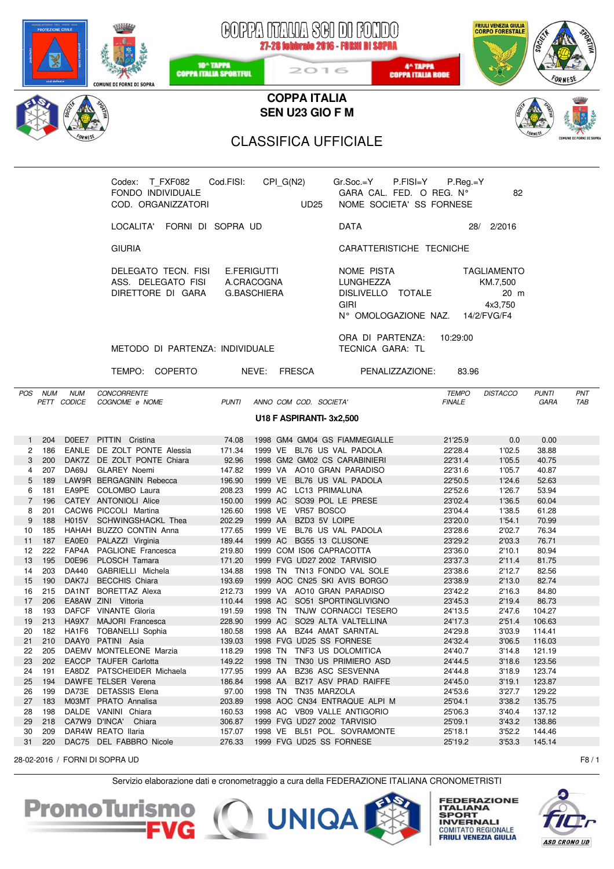|                     |               |                           | <b>COMUNE DI FORNI DI SOPRA</b>                                                       | 10 <sup>^</sup> TAPPA<br><b>COPPA ITALIA SPORTFUL</b> |                    |             | COPPA NTAUA SCI DI FONDO<br>27-28 febbraio 2016 - FORMI DI SOPRA<br>2016                        | 4^ TAPPA<br><b>COPPA ITALIA RODE</b> |                               | FRIULI VENEZIA GIULIA<br>CORPO FORESTALE          | soci                 |                         |
|---------------------|---------------|---------------------------|---------------------------------------------------------------------------------------|-------------------------------------------------------|--------------------|-------------|-------------------------------------------------------------------------------------------------|--------------------------------------|-------------------------------|---------------------------------------------------|----------------------|-------------------------|
|                     |               |                           |                                                                                       |                                                       |                    |             | <b>COPPA ITALIA</b>                                                                             |                                      |                               |                                                   |                      |                         |
|                     |               |                           |                                                                                       |                                                       |                    |             | SEN U23 GIO F M                                                                                 |                                      |                               |                                                   |                      |                         |
|                     |               |                           |                                                                                       |                                                       |                    |             | <b>CLASSIFICA UFFICIALE</b>                                                                     |                                      |                               |                                                   |                      | COMUNE DI FORNI DI SOPR |
|                     |               |                           |                                                                                       |                                                       |                    |             |                                                                                                 |                                      |                               |                                                   |                      |                         |
|                     |               |                           | Codex: T_FXF082    Cod.FISI:<br>FONDO INDIVIDUALE<br>COD. ORGANIZZATORI               |                                                       |                    | <b>UD25</b> | $CPI_G(N2)$ $Gr.Soc.=Y$ $P.FISI=Y$<br>GARA CAL. FED. O REG. N°<br>NOME SOCIETA' SS FORNESE      |                                      | $P_{\cdot}$ Reg $_{\cdot}$ =Y | 82                                                |                      |                         |
|                     |               |                           | LOCALITA' FORNI DI SOPRA UD                                                           |                                                       |                    |             | DATA                                                                                            |                                      |                               | 28/ 2/2016                                        |                      |                         |
|                     |               |                           | <b>GIURIA</b>                                                                         |                                                       |                    |             | CARATTERISTICHE TECNICHE                                                                        |                                      |                               |                                                   |                      |                         |
|                     |               |                           | DELEGATO TECN. FISI E.FERIGUTTI<br>ASS. DELEGATO FISI A.CRACOGNA<br>DIRETTORE DI GARA | G.BASCHIERA                                           |                    |             | NOME PISTA<br>LUNGHEZZA<br>DISLIVELLO TOTALE<br><b>GIRI</b><br>N° OMOLOGAZIONE NAZ. 14/2/FVG/F4 |                                      |                               | <b>TAGLIAMENTO</b><br>KM.7,500<br>20 m<br>4x3.750 |                      |                         |
|                     |               |                           | METODO DI PARTENZA: INDIVIDUALE                                                       |                                                       |                    |             | ORA DI PARTENZA: 10:29:00<br>TECNICA GARA: TL                                                   |                                      |                               |                                                   |                      |                         |
|                     |               |                           | TEMPO: COPERTO                                                                        | NEVE: FRESCA                                          |                    |             |                                                                                                 | PENALIZZAZIONE: 83.96                |                               |                                                   |                      |                         |
|                     | POS NUM       | <b>NUM</b><br>PETT CODICE | <b>CONCORRENTE</b><br>COGNOME e NOME                                                  | PUNTI ANNO COM COD. SOCIETA'                          |                    |             |                                                                                                 | <b>FINALE</b>                        | <b>TEMPO</b>                  | <b>DISTACCO</b>                                   | <b>PUNTI</b><br>GARA | PNT<br>TAB              |
|                     |               |                           |                                                                                       |                                                       |                    |             | U18 F ASPIRANTI-3x2,500                                                                         |                                      |                               |                                                   |                      |                         |
|                     |               |                           |                                                                                       |                                                       |                    |             |                                                                                                 |                                      |                               |                                                   |                      |                         |
| 1                   | -204<br>2 186 |                           | DOEE7 PITTIN Cristina<br>EANLE DE ZOLT PONTE Alessia                                  | 74.08                                                 |                    |             | 1998 GM4 GM04 GS FIAMMEGIALLE<br>171.34 1999 VE BL76 US VAL PADOLA                              |                                      | 21'25.9<br>22'28.4            | 0.0<br>1'02.5                                     | 0.00<br>38.88        |                         |
| 3 <sup>1</sup>      | 200           |                           | DAK7Z DE ZOLT PONTE Chiara                                                            | 92.96                                                 |                    |             | 1998 GM2 GM02 CS CARABINIERI                                                                    |                                      | 22'31.4                       | 1'05.5                                            | 40.75                |                         |
| 4                   | 207           |                           | DA69J GLAREY Noemi                                                                    | 147.82                                                |                    |             | 1999 VA AO10 GRAN PARADISO                                                                      |                                      | 22'31.6                       | 1'05.7                                            | 40.87                |                         |
| 5                   | 189           |                           | LAW9R BERGAGNIN Rebecca                                                               | 196.90                                                |                    |             | 1999 VE BL76 US VAL PADOLA                                                                      |                                      | 22'50.5                       | 1'24.6                                            | 52.63                |                         |
| 6<br>$\overline{7}$ | 181<br>196    |                           | EA9PE COLOMBO Laura<br>CATEY ANTONIOLI Alice                                          | 208.23<br>150.00                                      | 1999 AC            |             | 1999 AC LC13 PRIMALUNA<br>SO39 POL LE PRESE                                                     |                                      | 22'52.6<br>23'02.4            | 1'26.7<br>1'36.5                                  | 53.94<br>60.04       |                         |
| 8                   | 201           |                           | CACW6 PICCOLI Martina                                                                 | 126.60                                                |                    |             | 1998 VE VR57 BOSCO                                                                              |                                      | 23'04.4                       | 1'38.5                                            | 61.28                |                         |
| 9                   | 188           |                           | H015V SCHWINGSHACKL Thea                                                              | 202.29                                                | 1999 AA            |             | BZD3 5V LOIPE                                                                                   |                                      | 23'20.0                       | 1'54.1                                            | 70.99                |                         |
| 10                  | 185           |                           | HAHAH BUZZO CONTIN Anna                                                               | 177.65                                                |                    |             | 1999 VE BL76 US VAL PADOLA                                                                      |                                      | 23'28.6                       | 2'02.7                                            | 76.34                |                         |
| 11                  | 187           |                           | EA0E0 PALAZZI Virginia                                                                | 189.44                                                |                    |             | 1999 AC BG55 13 CLUSONE                                                                         |                                      | 23'29.2                       | 2'03.3                                            | 76.71                |                         |
| 12<br>13            | 222<br>195    |                           | FAP4A PAGLIONE Francesca<br>D0E96 PLOSCH Tamara                                       | 219.80<br>171.20                                      |                    |             | 1999 COM IS06 CAPRACOTTA<br>1999 FVG UD27 2002 TARVISIO                                         |                                      | 23'36.0<br>23'37.3            | 2'10.1<br>2'11.4                                  | 80.94<br>81.75       |                         |
| 14                  | 203           | DA440                     | GABRIELLI Michela                                                                     | 134.88                                                |                    |             | 1998 TN TN13 FONDO VAL SOLE                                                                     |                                      | 23'38.6                       | 2'12.7                                            | 82.56                |                         |
| 15                  | 190           |                           | DAK7J BECCHIS Chiara                                                                  | 193.69                                                |                    |             | 1999 AOC CN25 SKI AVIS BORGO                                                                    |                                      | 23'38.9                       | 2'13.0                                            | 82.74                |                         |
| 16                  | 215           |                           | DA1NT BORETTAZ Alexa                                                                  | 212.73                                                |                    |             | 1999 VA AO10 GRAN PARADISO                                                                      |                                      | 23'42.2                       | 2'16.3                                            | 84.80                |                         |
| 17                  | 206           |                           | EA8AW ZINI Vittoria                                                                   | 110.44                                                |                    |             | 1998 AC SO51 SPORTINGLIVIGNO                                                                    |                                      | 23'45.3                       | 2'19.4                                            | 86.73                |                         |
| 18<br>19            | 193<br>213    |                           | DAFCF VINANTE Gloria<br>HA9X7 MAJORI Francesca                                        | 191.59<br>228.90                                      |                    |             | 1998 TN TNJW CORNACCI TESERO<br>1999 AC SO29 ALTA VALTELLINA                                    |                                      | 24'13.5<br>24'17.3            | 2'47.6<br>2'51.4                                  | 104.27<br>106.63     |                         |
| 20                  | 182           |                           | HA1F6 TOBANELLI Sophia                                                                | 180.58                                                |                    |             | 1998 AA BZ44 AMAT SARNTAL                                                                       |                                      | 24'29.8                       | 3'03.9                                            | 114.41               |                         |
| 21                  | 210           |                           | DAAY0 PATINI Asia                                                                     | 139.03                                                |                    |             | 1998 FVG UD25 SS FORNESE                                                                        |                                      | 24'32.4                       | 3'06.5                                            | 116.03               |                         |
| 22                  | 205           |                           | DAEMV MONTELEONE Marzia                                                               | 118.29                                                |                    |             | 1998 TN TNF3 US DOLOMITICA                                                                      |                                      | 24'40.7                       | 3'14.8                                            | 121.19               |                         |
| 23                  | 202           |                           | EACCP TAUFER Carlotta                                                                 | 149.22                                                | 1998 TN            |             | TN30 US PRIMIERO ASD                                                                            |                                      | 24'44.5                       | 3'18.6                                            | 123.56               |                         |
| 24<br>25            | 191<br>194    |                           | EA8DZ PATSCHEIDER Michaela<br>DAWFE TELSER Verena                                     | 177.95<br>186.84                                      | 1999 AA<br>1998 AA |             | BZ36 ASC SESVENNA<br>BZ17 ASV PRAD RAIFFE                                                       |                                      | 24'44.8<br>24'45.0            | 3'18.9<br>3'19.1                                  | 123.74<br>123.87     |                         |
| 26                  | 199           |                           | DA73E DETASSIS Elena                                                                  | 97.00                                                 |                    |             | 1998 TN TN35 MARZOLA                                                                            |                                      | 24'53.6                       | 3'27.7                                            | 129.22               |                         |
| 27                  | 183           |                           | M03MT PRATO Annalisa                                                                  | 203.89                                                |                    |             | 1998 AOC CN34 ENTRAQUE ALPI M                                                                   |                                      | 25'04.1                       | 3'38.2                                            | 135.75               |                         |
| 28                  | 198           |                           | DALDE VANINI Chiara                                                                   | 160.53                                                |                    |             | 1998 AC VB09 VALLE ANTIGORIO                                                                    |                                      | 25'06.3                       | 3'40.4                                            | 137.12               |                         |
| 29                  | 218           |                           | CA7W9 D'INCA' Chiara                                                                  | 306.87                                                |                    |             | 1999 FVG UD27 2002 TARVISIO                                                                     | 25'09.1                              |                               | 3'43.2                                            | 138.86               |                         |
| 30<br>31            | 209<br>220    |                           | DAR4W REATO Ilaria<br>DAC75 DEL FABBRO Nicole                                         | 157.07<br>276.33                                      |                    |             | 1998 VE BL51 POL. SOVRAMONTE<br>1999 FVG UD25 SS FORNESE                                        |                                      | 25'18.1<br>25'19.2            | 3'52.2<br>3'53.3                                  | 144.46<br>145.14     |                         |
|                     |               |                           | 28-02-2016 / FORNI DI SOPRA UD                                                        |                                                       |                    |             |                                                                                                 |                                      |                               |                                                   |                      | F8/1                    |
|                     |               |                           |                                                                                       |                                                       |                    |             |                                                                                                 |                                      |                               |                                                   |                      |                         |

Servizio elaborazione dati e cronometraggio a cura della FEDERAZIONE ITALIANA CRONOMETRISTI



**FEDERAZIONE<br>ITALIANA<br>SPORT<br>INVERNALI<br>COMITATO REGIONALE<br>FRIULI VENEZIA GIULIA**